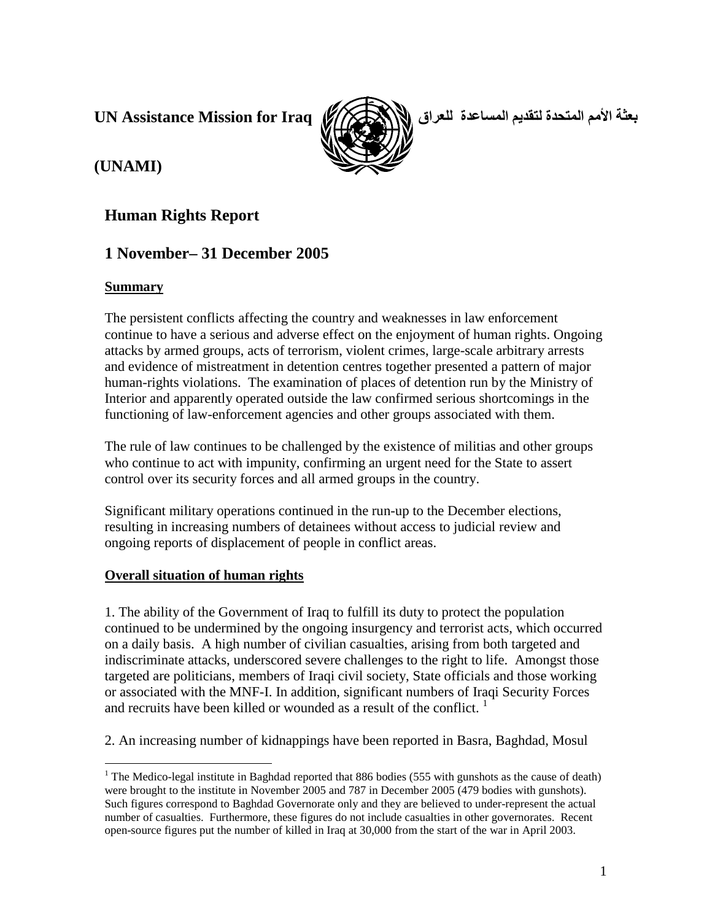**UN Assistance Mission for Iraq**



بعثة الأمم المتحدة لتقديم المساعدة للعراق

# **(UNAMI)**

## **Human Rights Report**

# **1 November– 31 December 2005**

## **Summary**

The persistent conflicts affecting the country and weaknesses in law enforcement continue to have a serious and adverse effect on the enjoyment of human rights. Ongoing attacks by armed groups, acts of terrorism, violent crimes, large-scale arbitrary arrests and evidence of mistreatment in detention centres together presented a pattern of major human-rights violations. The examination of places of detention run by the Ministry of Interior and apparently operated outside the law confirmed serious shortcomings in the functioning of law-enforcement agencies and other groups associated with them.

The rule of law continues to be challenged by the existence of militias and other groups who continue to act with impunity, confirming an urgent need for the State to assert control over its security forces and all armed groups in the country.

Significant military operations continued in the run-up to the December elections, resulting in increasing numbers of detainees without access to judicial review and ongoing reports of displacement of people in conflict areas.

## **Overall situation of human rights**

1. The ability of the Government of Iraq to fulfill its duty to protect the population continued to be undermined by the ongoing insurgency and terrorist acts, which occurred on a daily basis. A high number of civilian casualties, arising from both targeted and indiscriminate attacks, underscored severe challenges to the right to life. Amongst those targeted are politicians, members of Iraqi civil society, State officials and those working or associated with the MNF-I. In addition, significant numbers of Iraqi Security Forces and recruits have been killed or wounded as a result of the conflict.  $1$ 

2. An increasing number of kidnappings have been reported in Basra, Baghdad, Mosul

<sup>&</sup>lt;sup>1</sup> The Medico-legal institute in Baghdad reported that 886 bodies (555 with gunshots as the cause of death) were brought to the institute in November 2005 and 787 in December 2005 (479 bodies with gunshots). Such figures correspond to Baghdad Governorate only and they are believed to under-represent the actual number of casualties. Furthermore, these figures do not include casualties in other governorates. Recent open-source figures put the number of killed in Iraq at 30,000 from the start of the war in April 2003.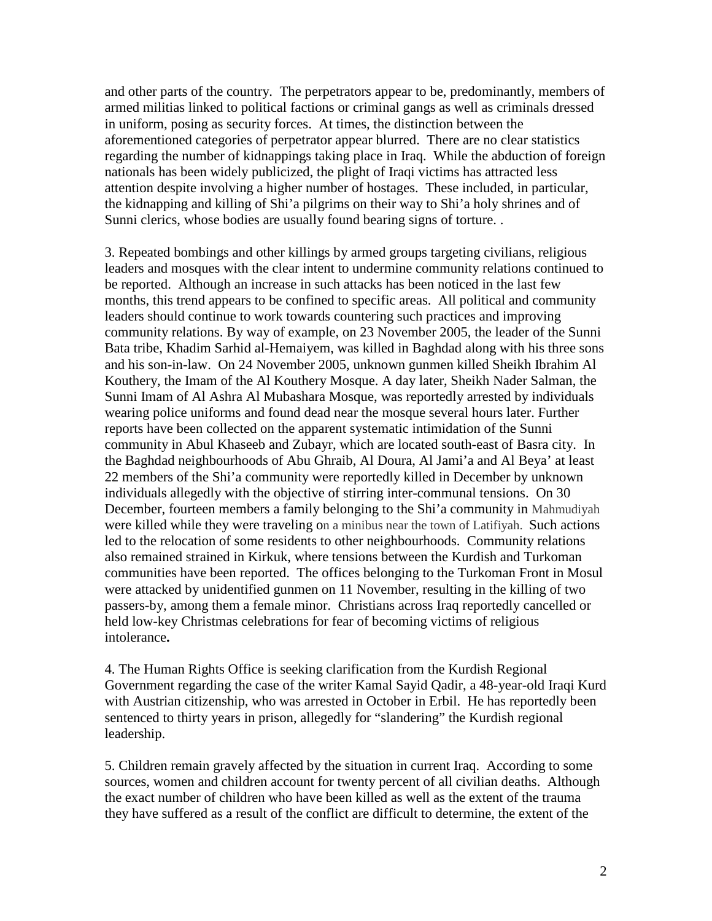and other parts of the country. The perpetrators appear to be, predominantly, members of armed militias linked to political factions or criminal gangs as well as criminals dressed in uniform, posing as security forces. At times, the distinction between the aforementioned categories of perpetrator appear blurred. There are no clear statistics regarding the number of kidnappings taking place in Iraq. While the abduction of foreign nationals has been widely publicized, the plight of Iraqi victims has attracted less attention despite involving a higher number of hostages. These included, in particular, the kidnapping and killing of Shi'a pilgrims on their way to Shi'a holy shrines and of Sunni clerics, whose bodies are usually found bearing signs of torture. .

3. Repeated bombings and other killings by armed groups targeting civilians, religious leaders and mosques with the clear intent to undermine community relations continued to be reported. Although an increase in such attacks has been noticed in the last few months, this trend appears to be confined to specific areas. All political and community leaders should continue to work towards countering such practices and improving community relations. By way of example, on 23 November 2005, the leader of the Sunni Bata tribe, Khadim Sarhid al-Hemaiyem, was killed in Baghdad along with his three sons and his son-in-law. On 24 November 2005, unknown gunmen killed Sheikh Ibrahim Al Kouthery, the Imam of the Al Kouthery Mosque. A day later, Sheikh Nader Salman, the Sunni Imam of Al Ashra Al Mubashara Mosque, was reportedly arrested by individuals wearing police uniforms and found dead near the mosque several hours later. Further reports have been collected on the apparent systematic intimidation of the Sunni community in Abul Khaseeb and Zubayr, which are located south-east of Basra city. In the Baghdad neighbourhoods of Abu Ghraib, Al Doura, Al Jami'a and Al Beya' at least 22 members of the Shi'a community were reportedly killed in December by unknown individuals allegedly with the objective of stirring inter-communal tensions. On 30 December, fourteen members a family belonging to the Shi'a community in Mahmudiyah were killed while they were traveling on a minibus near the town of Latifiyah. Such actions led to the relocation of some residents to other neighbourhoods. Community relations also remained strained in Kirkuk, where tensions between the Kurdish and Turkoman communities have been reported. The offices belonging to the Turkoman Front in Mosul were attacked by unidentified gunmen on 11 November, resulting in the killing of two passers-by, among them a female minor. Christians across Iraq reportedly cancelled or held low-key Christmas celebrations for fear of becoming victims of religious intolerance**.** 

4. The Human Rights Office is seeking clarification from the Kurdish Regional Government regarding the case of the writer Kamal Sayid Qadir, a 48-year-old Iraqi Kurd with Austrian citizenship, who was arrested in October in Erbil. He has reportedly been sentenced to thirty years in prison, allegedly for "slandering" the Kurdish regional leadership.

5. Children remain gravely affected by the situation in current Iraq. According to some sources, women and children account for twenty percent of all civilian deaths. Although the exact number of children who have been killed as well as the extent of the trauma they have suffered as a result of the conflict are difficult to determine, the extent of the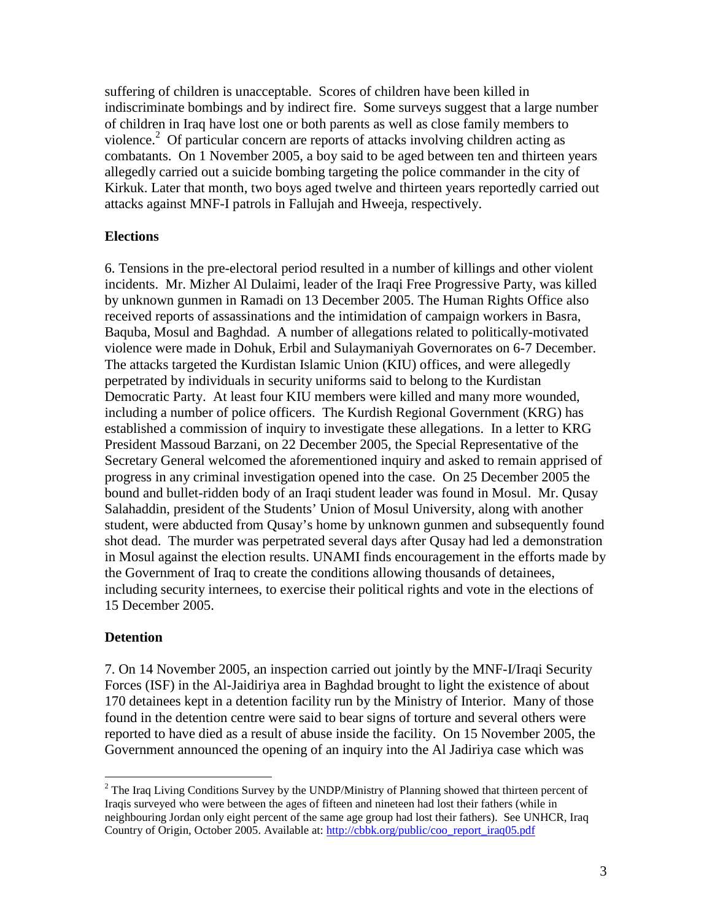suffering of children is unacceptable. Scores of children have been killed in indiscriminate bombings and by indirect fire. Some surveys suggest that a large number of children in Iraq have lost one or both parents as well as close family members to violence.<sup>2</sup> Of particular concern are reports of attacks involving children acting as combatants. On 1 November 2005, a boy said to be aged between ten and thirteen years allegedly carried out a suicide bombing targeting the police commander in the city of Kirkuk. Later that month, two boys aged twelve and thirteen years reportedly carried out attacks against MNF-I patrols in Fallujah and Hweeja, respectively.

#### **Elections**

6. Tensions in the pre-electoral period resulted in a number of killings and other violent incidents. Mr. Mizher Al Dulaimi, leader of the Iraqi Free Progressive Party, was killed by unknown gunmen in Ramadi on 13 December 2005. The Human Rights Office also received reports of assassinations and the intimidation of campaign workers in Basra, Baquba, Mosul and Baghdad. A number of allegations related to politically-motivated violence were made in Dohuk, Erbil and Sulaymaniyah Governorates on 6-7 December. The attacks targeted the Kurdistan Islamic Union (KIU) offices, and were allegedly perpetrated by individuals in security uniforms said to belong to the Kurdistan Democratic Party. At least four KIU members were killed and many more wounded, including a number of police officers. The Kurdish Regional Government (KRG) has established a commission of inquiry to investigate these allegations. In a letter to KRG President Massoud Barzani, on 22 December 2005, the Special Representative of the Secretary General welcomed the aforementioned inquiry and asked to remain apprised of progress in any criminal investigation opened into the case. On 25 December 2005 the bound and bullet-ridden body of an Iraqi student leader was found in Mosul. Mr. Qusay Salahaddin, president of the Students' Union of Mosul University, along with another student, were abducted from Qusay's home by unknown gunmen and subsequently found shot dead. The murder was perpetrated several days after Qusay had led a demonstration in Mosul against the election results. UNAMI finds encouragement in the efforts made by the Government of Iraq to create the conditions allowing thousands of detainees, including security internees, to exercise their political rights and vote in the elections of 15 December 2005.

#### **Detention**

7. On 14 November 2005, an inspection carried out jointly by the MNF-I/Iraqi Security Forces (ISF) in the Al-Jaidiriya area in Baghdad brought to light the existence of about 170 detainees kept in a detention facility run by the Ministry of Interior. Many of those found in the detention centre were said to bear signs of torture and several others were reported to have died as a result of abuse inside the facility. On 15 November 2005, the Government announced the opening of an inquiry into the Al Jadiriya case which was

 $\overline{a}$  $2^2$  The Iraq Living Conditions Survey by the UNDP/Ministry of Planning showed that thirteen percent of Iraqis surveyed who were between the ages of fifteen and nineteen had lost their fathers (while in neighbouring Jordan only eight percent of the same age group had lost their fathers). See UNHCR, Iraq Country of Origin, October 2005. Available at: http://cbbk.org/public/coo\_report\_iraq05.pdf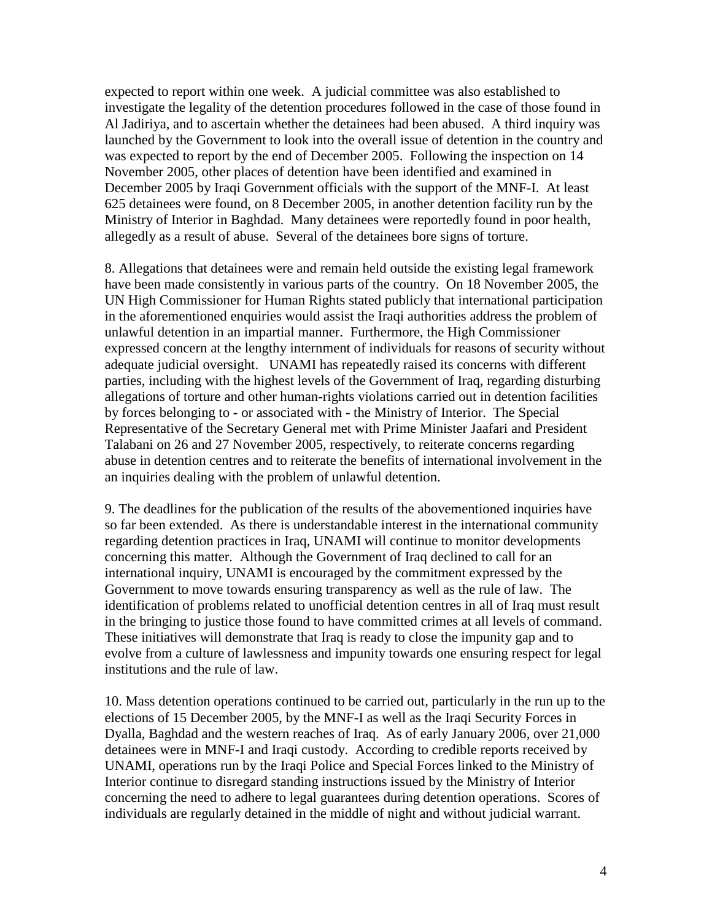expected to report within one week. A judicial committee was also established to investigate the legality of the detention procedures followed in the case of those found in Al Jadiriya, and to ascertain whether the detainees had been abused. A third inquiry was launched by the Government to look into the overall issue of detention in the country and was expected to report by the end of December 2005. Following the inspection on 14 November 2005, other places of detention have been identified and examined in December 2005 by Iraqi Government officials with the support of the MNF-I. At least 625 detainees were found, on 8 December 2005, in another detention facility run by the Ministry of Interior in Baghdad. Many detainees were reportedly found in poor health, allegedly as a result of abuse. Several of the detainees bore signs of torture.

8. Allegations that detainees were and remain held outside the existing legal framework have been made consistently in various parts of the country. On 18 November 2005, the UN High Commissioner for Human Rights stated publicly that international participation in the aforementioned enquiries would assist the Iraqi authorities address the problem of unlawful detention in an impartial manner. Furthermore, the High Commissioner expressed concern at the lengthy internment of individuals for reasons of security without adequate judicial oversight. UNAMI has repeatedly raised its concerns with different parties, including with the highest levels of the Government of Iraq, regarding disturbing allegations of torture and other human-rights violations carried out in detention facilities by forces belonging to - or associated with - the Ministry of Interior. The Special Representative of the Secretary General met with Prime Minister Jaafari and President Talabani on 26 and 27 November 2005, respectively, to reiterate concerns regarding abuse in detention centres and to reiterate the benefits of international involvement in the an inquiries dealing with the problem of unlawful detention.

9. The deadlines for the publication of the results of the abovementioned inquiries have so far been extended. As there is understandable interest in the international community regarding detention practices in Iraq, UNAMI will continue to monitor developments concerning this matter. Although the Government of Iraq declined to call for an international inquiry, UNAMI is encouraged by the commitment expressed by the Government to move towards ensuring transparency as well as the rule of law. The identification of problems related to unofficial detention centres in all of Iraq must result in the bringing to justice those found to have committed crimes at all levels of command. These initiatives will demonstrate that Iraq is ready to close the impunity gap and to evolve from a culture of lawlessness and impunity towards one ensuring respect for legal institutions and the rule of law.

10. Mass detention operations continued to be carried out, particularly in the run up to the elections of 15 December 2005, by the MNF-I as well as the Iraqi Security Forces in Dyalla, Baghdad and the western reaches of Iraq. As of early January 2006, over 21,000 detainees were in MNF-I and Iraqi custody. According to credible reports received by UNAMI, operations run by the Iraqi Police and Special Forces linked to the Ministry of Interior continue to disregard standing instructions issued by the Ministry of Interior concerning the need to adhere to legal guarantees during detention operations. Scores of individuals are regularly detained in the middle of night and without judicial warrant.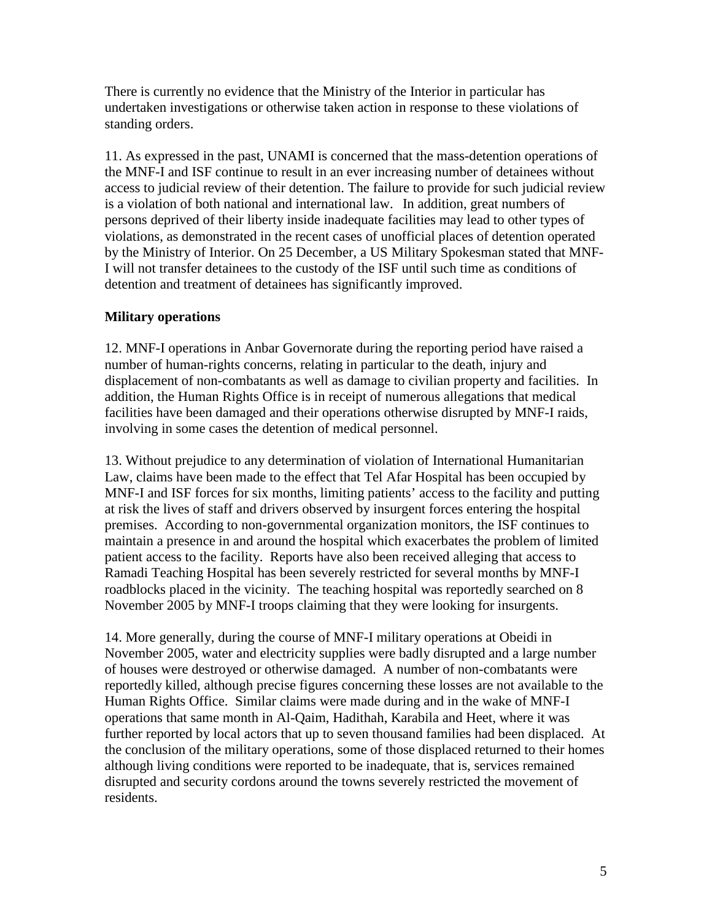There is currently no evidence that the Ministry of the Interior in particular has undertaken investigations or otherwise taken action in response to these violations of standing orders.

11. As expressed in the past, UNAMI is concerned that the mass-detention operations of the MNF-I and ISF continue to result in an ever increasing number of detainees without access to judicial review of their detention. The failure to provide for such judicial review is a violation of both national and international law. In addition, great numbers of persons deprived of their liberty inside inadequate facilities may lead to other types of violations, as demonstrated in the recent cases of unofficial places of detention operated by the Ministry of Interior. On 25 December, a US Military Spokesman stated that MNF-I will not transfer detainees to the custody of the ISF until such time as conditions of detention and treatment of detainees has significantly improved.

### **Military operations**

12. MNF-I operations in Anbar Governorate during the reporting period have raised a number of human-rights concerns, relating in particular to the death, injury and displacement of non-combatants as well as damage to civilian property and facilities. In addition, the Human Rights Office is in receipt of numerous allegations that medical facilities have been damaged and their operations otherwise disrupted by MNF-I raids, involving in some cases the detention of medical personnel.

13. Without prejudice to any determination of violation of International Humanitarian Law, claims have been made to the effect that Tel Afar Hospital has been occupied by MNF-I and ISF forces for six months, limiting patients' access to the facility and putting at risk the lives of staff and drivers observed by insurgent forces entering the hospital premises. According to non-governmental organization monitors, the ISF continues to maintain a presence in and around the hospital which exacerbates the problem of limited patient access to the facility. Reports have also been received alleging that access to Ramadi Teaching Hospital has been severely restricted for several months by MNF-I roadblocks placed in the vicinity. The teaching hospital was reportedly searched on 8 November 2005 by MNF-I troops claiming that they were looking for insurgents.

14. More generally, during the course of MNF-I military operations at Obeidi in November 2005, water and electricity supplies were badly disrupted and a large number of houses were destroyed or otherwise damaged. A number of non-combatants were reportedly killed, although precise figures concerning these losses are not available to the Human Rights Office. Similar claims were made during and in the wake of MNF-I operations that same month in Al-Qaim, Hadithah, Karabila and Heet, where it was further reported by local actors that up to seven thousand families had been displaced. At the conclusion of the military operations, some of those displaced returned to their homes although living conditions were reported to be inadequate, that is, services remained disrupted and security cordons around the towns severely restricted the movement of residents.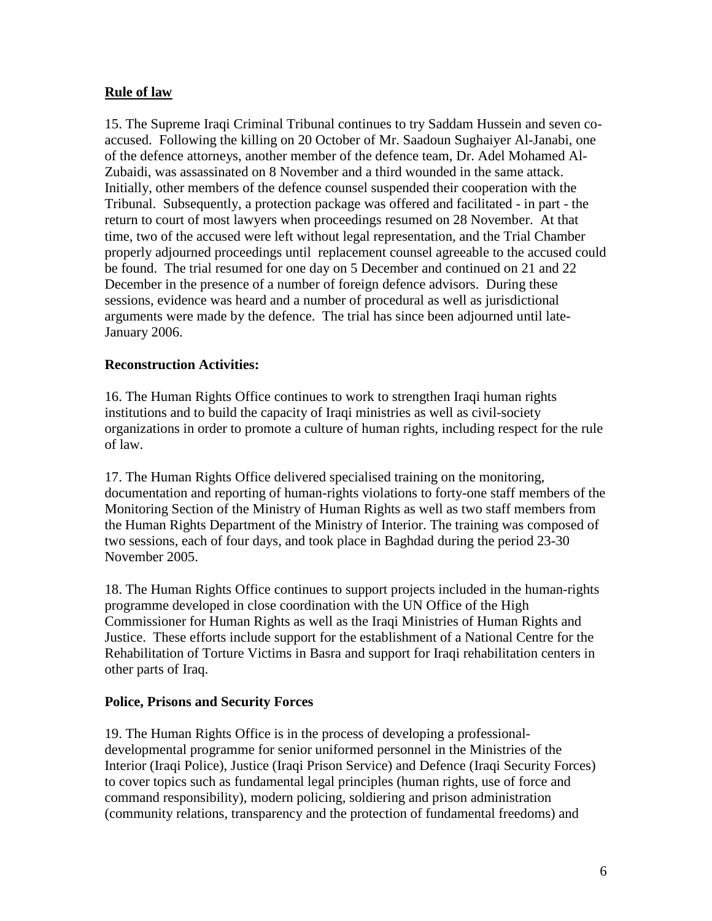## **Rule of law**

15. The Supreme Iraqi Criminal Tribunal continues to try Saddam Hussein and seven coaccused. Following the killing on 20 October of Mr. Saadoun Sughaiyer Al-Janabi, one of the defence attorneys, another member of the defence team, Dr. Adel Mohamed Al-Zubaidi, was assassinated on 8 November and a third wounded in the same attack. Initially, other members of the defence counsel suspended their cooperation with the Tribunal. Subsequently, a protection package was offered and facilitated - in part - the return to court of most lawyers when proceedings resumed on 28 November. At that time, two of the accused were left without legal representation, and the Trial Chamber properly adjourned proceedings until replacement counsel agreeable to the accused could be found. The trial resumed for one day on 5 December and continued on 21 and 22 December in the presence of a number of foreign defence advisors. During these sessions, evidence was heard and a number of procedural as well as jurisdictional arguments were made by the defence. The trial has since been adjourned until late-January 2006.

### **Reconstruction Activities:**

16. The Human Rights Office continues to work to strengthen Iraqi human rights institutions and to build the capacity of Iraqi ministries as well as civil-society organizations in order to promote a culture of human rights, including respect for the rule of law.

17. The Human Rights Office delivered specialised training on the monitoring, documentation and reporting of human-rights violations to forty-one staff members of the Monitoring Section of the Ministry of Human Rights as well as two staff members from the Human Rights Department of the Ministry of Interior. The training was composed of two sessions, each of four days, and took place in Baghdad during the period 23-30 November 2005.

18. The Human Rights Office continues to support projects included in the human-rights programme developed in close coordination with the UN Office of the High Commissioner for Human Rights as well as the Iraqi Ministries of Human Rights and Justice. These efforts include support for the establishment of a National Centre for the Rehabilitation of Torture Victims in Basra and support for Iraqi rehabilitation centers in other parts of Iraq.

### **Police, Prisons and Security Forces**

19. The Human Rights Office is in the process of developing a professionaldevelopmental programme for senior uniformed personnel in the Ministries of the Interior (Iraqi Police), Justice (Iraqi Prison Service) and Defence (Iraqi Security Forces) to cover topics such as fundamental legal principles (human rights, use of force and command responsibility), modern policing, soldiering and prison administration (community relations, transparency and the protection of fundamental freedoms) and